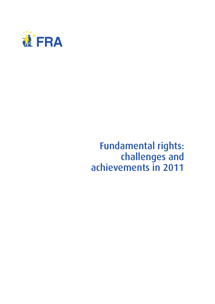

## Fundamental rights: challenges and achievements in 2011